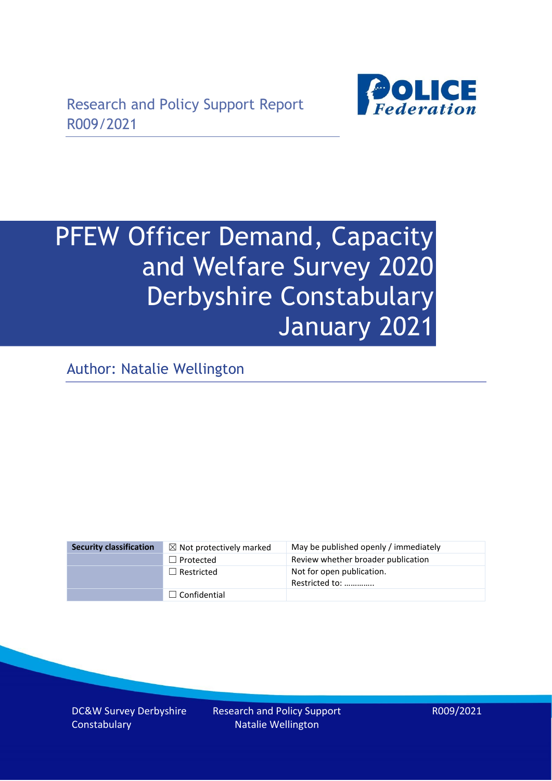

# PFEW Officer Demand, Capacity and Welfare Survey 2020 Derbyshire Constabulary January 2021

Author: Natalie Wellington

| <b>Security classification</b> | $\boxtimes$ Not protectively marked | May be published openly / immediately       |
|--------------------------------|-------------------------------------|---------------------------------------------|
|                                | $\Box$ Protected                    | Review whether broader publication          |
|                                | $\Box$ Restricted                   | Not for open publication.<br>Restricted to: |
|                                | $\Box$ Confidential                 |                                             |

DC&W Survey Derbyshire **Constabulary**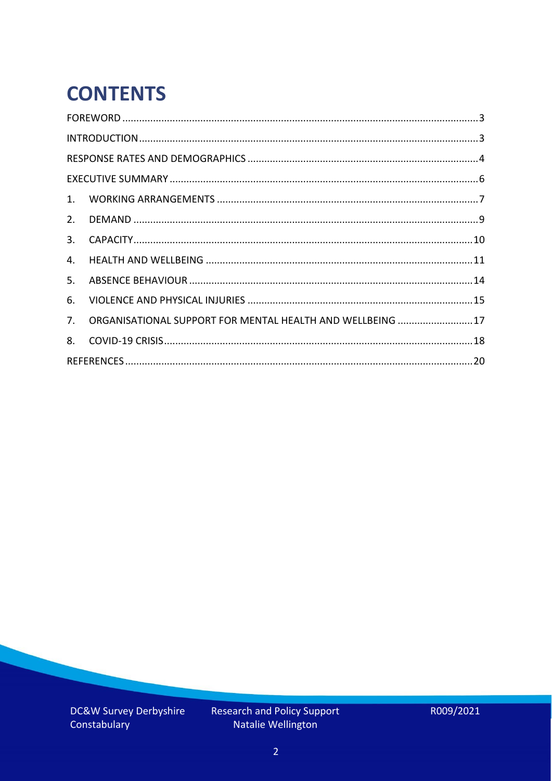# **CONTENTS**

| 2.          |                                                            |  |
|-------------|------------------------------------------------------------|--|
| 3.          |                                                            |  |
| 4.          |                                                            |  |
| 5.          |                                                            |  |
| 6.          |                                                            |  |
| $7_{\cdot}$ | ORGANISATIONAL SUPPORT FOR MENTAL HEALTH AND WELLBEING  17 |  |
| 8.          |                                                            |  |
|             |                                                            |  |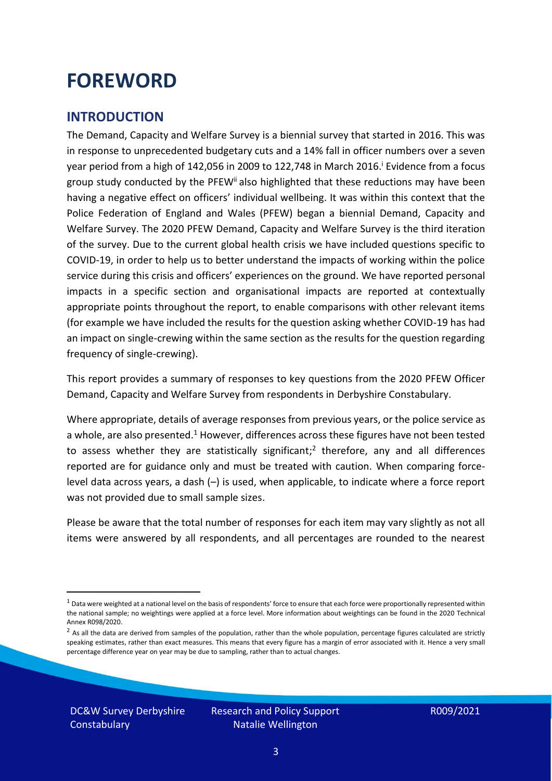### <span id="page-2-0"></span>**FOREWORD**

#### <span id="page-2-1"></span>**INTRODUCTION**

The Demand, Capacity and Welfare Survey is a biennial survey that started in 2016. This was in response to unprecedented budgetary cuts and a 14% fall in officer numbers over a seven year period from a high of 142,056 in 2009 to 122,748 in March 2016. <sup>i</sup> Evidence from a focus group study conducted by the PFEW<sup>ii</sup> also highlighted that these reductions may have been having a negative effect on officers' individual wellbeing. It was within this context that the Police Federation of England and Wales (PFEW) began a biennial Demand, Capacity and Welfare Survey. The 2020 PFEW Demand, Capacity and Welfare Survey is the third iteration of the survey. Due to the current global health crisis we have included questions specific to COVID-19, in order to help us to better understand the impacts of working within the police service during this crisis and officers' experiences on the ground. We have reported personal impacts in a specific section and organisational impacts are reported at contextually appropriate points throughout the report, to enable comparisons with other relevant items (for example we have included the results for the question asking whether COVID-19 has had an impact on single-crewing within the same section as the results for the question regarding frequency of single-crewing).

This report provides a summary of responses to key questions from the 2020 PFEW Officer Demand, Capacity and Welfare Survey from respondents in Derbyshire Constabulary.

Where appropriate, details of average responses from previous years, or the police service as a whole, are also presented.<sup>1</sup> However, differences across these figures have not been tested to assess whether they are statistically significant;<sup>2</sup> therefore, any and all differences reported are for guidance only and must be treated with caution. When comparing forcelevel data across years, a dash (–) is used, when applicable, to indicate where a force report was not provided due to small sample sizes.

Please be aware that the total number of responses for each item may vary slightly as not all items were answered by all respondents, and all percentages are rounded to the nearest

DC&W Survey Derbyshire **Constabulary** 

 $1$  Data were weighted at a national level on the basis of respondents' force to ensure that each force were proportionally represented within the national sample; no weightings were applied at a force level. More information about weightings can be found in the 2020 Technical Annex R098/2020.

 $2$  As all the data are derived from samples of the population, rather than the whole population, percentage figures calculated are strictly speaking estimates, rather than exact measures. This means that every figure has a margin of error associated with it. Hence a very small percentage difference year on year may be due to sampling, rather than to actual changes.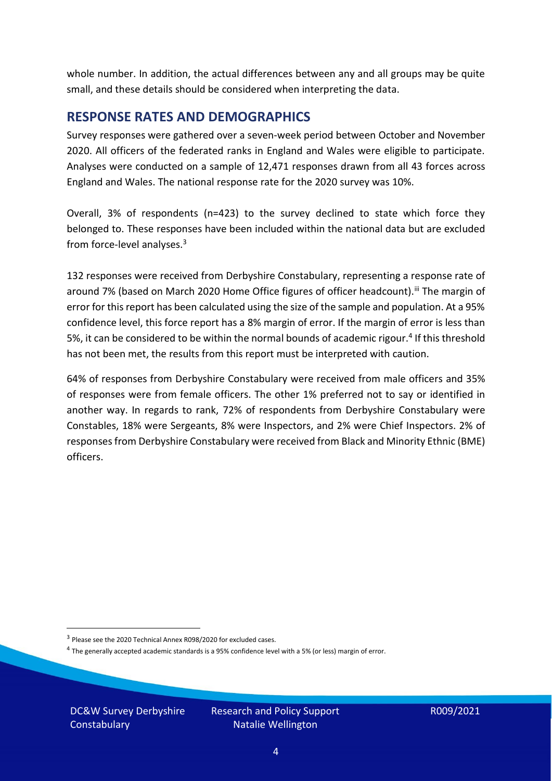whole number. In addition, the actual differences between any and all groups may be quite small, and these details should be considered when interpreting the data.

#### <span id="page-3-0"></span>**RESPONSE RATES AND DEMOGRAPHICS**

Survey responses were gathered over a seven-week period between October and November 2020. All officers of the federated ranks in England and Wales were eligible to participate. Analyses were conducted on a sample of 12,471 responses drawn from all 43 forces across England and Wales. The national response rate for the 2020 survey was 10%.

Overall, 3% of respondents (n=423) to the survey declined to state which force they belonged to. These responses have been included within the national data but are excluded from force-level analyses.<sup>3</sup>

132 responses were received from Derbyshire Constabulary, representing a response rate of around 7% (based on March 2020 Home Office figures of officer headcount). III The margin of error for this report has been calculated using the size of the sample and population. At a 95% confidence level, this force report has a 8% margin of error. If the margin of error is less than 5%, it can be considered to be within the normal bounds of academic rigour.<sup>4</sup> If this threshold has not been met, the results from this report must be interpreted with caution.

64% of responses from Derbyshire Constabulary were received from male officers and 35% of responses were from female officers. The other 1% preferred not to say or identified in another way. In regards to rank, 72% of respondents from Derbyshire Constabulary were Constables, 18% were Sergeants, 8% were Inspectors, and 2% were Chief Inspectors. 2% of responses from Derbyshire Constabulary were received from Black and Minority Ethnic (BME) officers.

DC&W Survey Derbyshire **Constabulary** 

<sup>&</sup>lt;sup>3</sup> Please see the 2020 Technical Annex R098/2020 for excluded cases.

<sup>&</sup>lt;sup>4</sup> The generally accepted academic standards is a 95% confidence level with a 5% (or less) margin of error.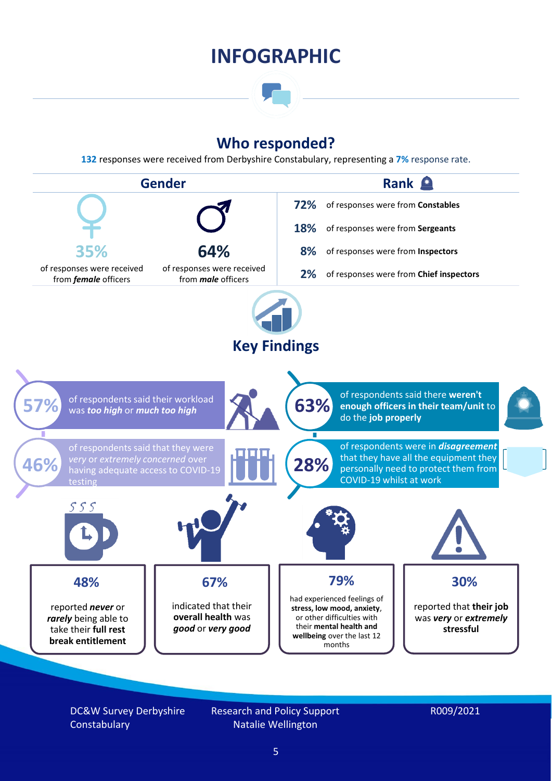### **INFOGRAPHIC**

### **Who responded?**

**132** responses were received from Derbyshire Constabulary, representing a **7%** response rate.



DC&W Survey Derbyshire **Constabulary** 

Research and Policy Support Natalie Wellington

#### R009/2021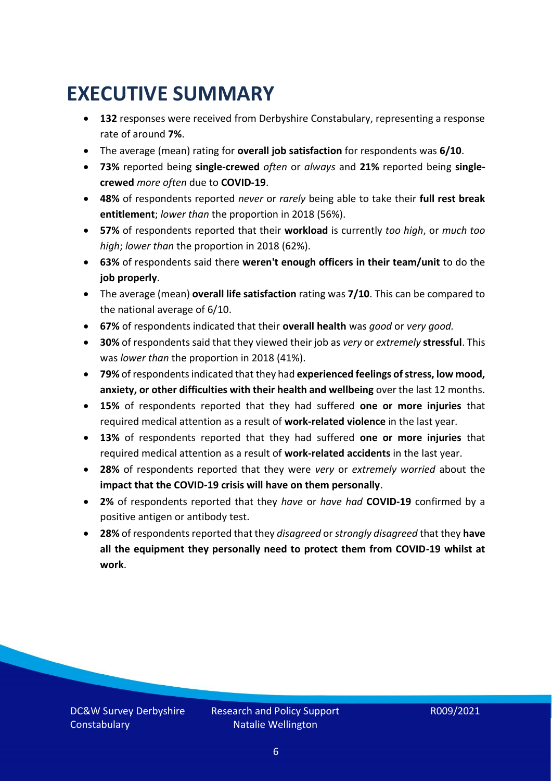### <span id="page-5-0"></span>**EXECUTIVE SUMMARY**

- **132** responses were received from Derbyshire Constabulary, representing a response rate of around **7%**.
- The average (mean) rating for **overall job satisfaction** for respondents was **6/10**.
- **73%** reported being **single-crewed** *often* or *always* and **21%** reported being **singlecrewed** *more often* due to **COVID-19**.
- **48%** of respondents reported *never* or *rarely* being able to take their **full rest break entitlement**; *lower than* the proportion in 2018 (56%).
- **57%** of respondents reported that their **workload** is currently *too high*, or *much too high*; *lower than* the proportion in 2018 (62%).
- **63%** of respondents said there **weren't enough officers in their team/unit** to do the **job properly**.
- The average (mean) **overall life satisfaction** rating was **7/10**. This can be compared to the national average of 6/10.
- **67%** of respondents indicated that their **overall health** was *good* or *very good.*
- **30%** of respondents said that they viewed their job as *very* or *extremely* **stressful**. This was *lower than* the proportion in 2018 (41%).
- **79%** of respondents indicated that they had **experienced feelings of stress, low mood, anxiety, or other difficulties with their health and wellbeing** over the last 12 months.
- **15%** of respondents reported that they had suffered **one or more injuries** that required medical attention as a result of **work-related violence** in the last year.
- **13%** of respondents reported that they had suffered **one or more injuries** that required medical attention as a result of **work-related accidents** in the last year.
- **28%** of respondents reported that they were *very* or *extremely worried* about the **impact that the COVID-19 crisis will have on them personally**.
- **2%** of respondents reported that they *have* or *have had* **COVID-19** confirmed by a positive antigen or antibody test.
- **28%** of respondents reported that they *disagreed* or *strongly disagreed* that they **have all the equipment they personally need to protect them from COVID-19 whilst at work**.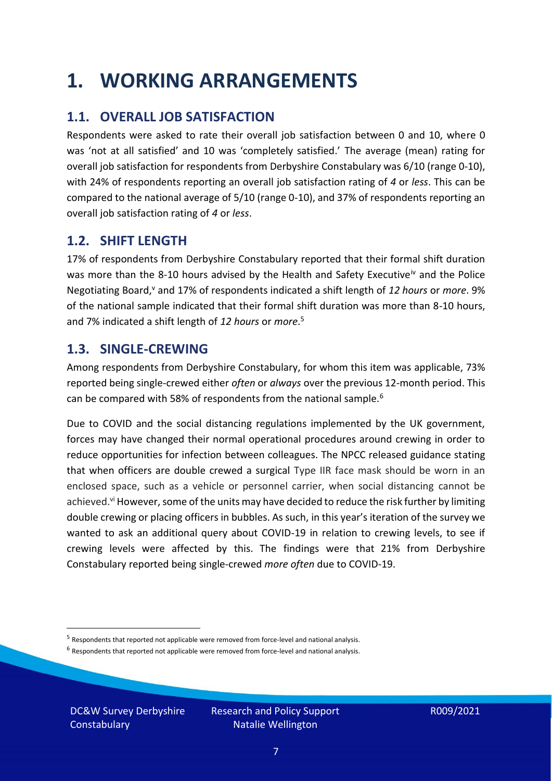### <span id="page-6-0"></span>**1. WORKING ARRANGEMENTS**

### **1.1. OVERALL JOB SATISFACTION**

Respondents were asked to rate their overall job satisfaction between 0 and 10, where 0 was 'not at all satisfied' and 10 was 'completely satisfied.' The average (mean) rating for overall job satisfaction for respondents from Derbyshire Constabulary was 6/10 (range 0-10), with 24% of respondents reporting an overall job satisfaction rating of *4* or *less*. This can be compared to the national average of 5/10 (range 0-10), and 37% of respondents reporting an overall job satisfaction rating of *4* or *less*.

### **1.2. SHIFT LENGTH**

17% of respondents from Derbyshire Constabulary reported that their formal shift duration was more than the 8-10 hours advised by the Health and Safety Executive<sup>iv</sup> and the Police Negotiating Board,<sup>v</sup> and 17% of respondents indicated a shift length of *12 hours* or *more*. 9% of the national sample indicated that their formal shift duration was more than 8-10 hours, and 7% indicated a shift length of *12 hours* or *more*. 5

#### **1.3. SINGLE-CREWING**

Among respondents from Derbyshire Constabulary, for whom this item was applicable, 73% reported being single-crewed either *often* or *always* over the previous 12-month period. This can be compared with 58% of respondents from the national sample.<sup>6</sup>

Due to COVID and the social distancing regulations implemented by the UK government, forces may have changed their normal operational procedures around crewing in order to reduce opportunities for infection between colleagues. The NPCC released guidance stating that when officers are double crewed a surgical Type IIR face mask should be worn in an enclosed space, such as a vehicle or personnel carrier, when social distancing cannot be achieved.<sup>vi</sup> However, some of the units may have decided to reduce the risk further by limiting double crewing or placing officers in bubbles. As such, in this year's iteration of the survey we wanted to ask an additional query about COVID-19 in relation to crewing levels, to see if crewing levels were affected by this. The findings were that 21% from Derbyshire Constabulary reported being single-crewed *more often* due to COVID-19.

 $<sup>6</sup>$  Respondents that reported not applicable were removed from force-level and national analysis.</sup>

DC&W Survey Derbyshire **Constabulary** 

<sup>&</sup>lt;sup>5</sup> Respondents that reported not applicable were removed from force-level and national analysis.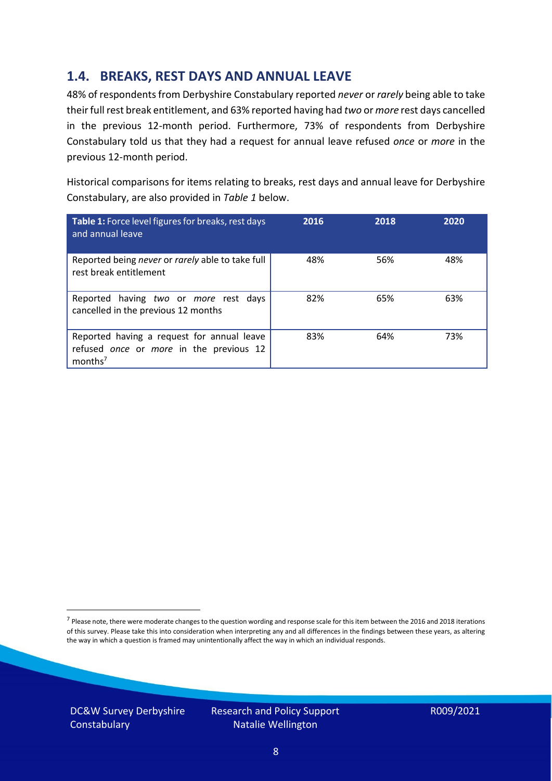### **1.4. BREAKS, REST DAYS AND ANNUAL LEAVE**

48% of respondents from Derbyshire Constabulary reported *never* or *rarely* being able to take their full rest break entitlement, and 63% reported having had *two* or *more* rest days cancelled in the previous 12-month period. Furthermore, 73% of respondents from Derbyshire Constabulary told us that they had a request for annual leave refused *once* or *more* in the previous 12-month period.

Historical comparisons for items relating to breaks, rest days and annual leave for Derbyshire Constabulary, are also provided in *Table 1* below.

| Table 1: Force level figures for breaks, rest days<br>and annual leave                                       | 2016 | 2018 | 2020 |
|--------------------------------------------------------------------------------------------------------------|------|------|------|
| Reported being never or rarely able to take full<br>rest break entitlement                                   | 48%  | 56%  | 48%  |
| Reported having two or more rest days<br>cancelled in the previous 12 months                                 | 82%  | 65%  | 63%  |
| Reported having a request for annual leave<br>refused once or more in the previous 12<br>months <sup>7</sup> | 83%  | 64%  | 73%  |

DC&W Survey Derbyshire **Constabulary** 

<sup>&</sup>lt;sup>7</sup> Please note, there were moderate changes to the question wording and response scale for this item between the 2016 and 2018 iterations of this survey. Please take this into consideration when interpreting any and all differences in the findings between these years, as altering the way in which a question is framed may unintentionally affect the way in which an individual responds.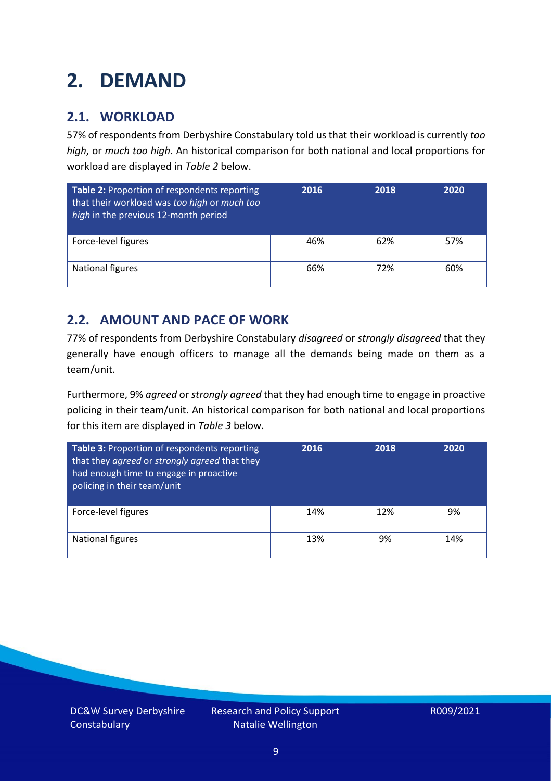### <span id="page-8-0"></span>**2. DEMAND**

### **2.1. WORKLOAD**

57% of respondents from Derbyshire Constabulary told us that their workload is currently *too high*, or *much too high*. An historical comparison for both national and local proportions for workload are displayed in *Table 2* below.

| Table 2: Proportion of respondents reporting<br>that their workload was too high or much too<br>high in the previous 12-month period | 2016 | 2018 | 2020 |
|--------------------------------------------------------------------------------------------------------------------------------------|------|------|------|
| Force-level figures                                                                                                                  | 46%  | 62%  | 57%  |
| <b>National figures</b>                                                                                                              | 66%  | 72%  | 60%  |

### **2.2. AMOUNT AND PACE OF WORK**

77% of respondents from Derbyshire Constabulary *disagreed* or *strongly disagreed* that they generally have enough officers to manage all the demands being made on them as a team/unit.

Furthermore, 9% *agreed* or *strongly agreed* that they had enough time to engage in proactive policing in their team/unit. An historical comparison for both national and local proportions for this item are displayed in *Table 3* below.

| Table 3: Proportion of respondents reporting<br>that they agreed or strongly agreed that they<br>had enough time to engage in proactive<br>policing in their team/unit | 2016 | 2018 | 2020 |
|------------------------------------------------------------------------------------------------------------------------------------------------------------------------|------|------|------|
| Force-level figures                                                                                                                                                    | 14%  | 12%  | 9%   |
| <b>National figures</b>                                                                                                                                                | 13%  | 9%   | 14%  |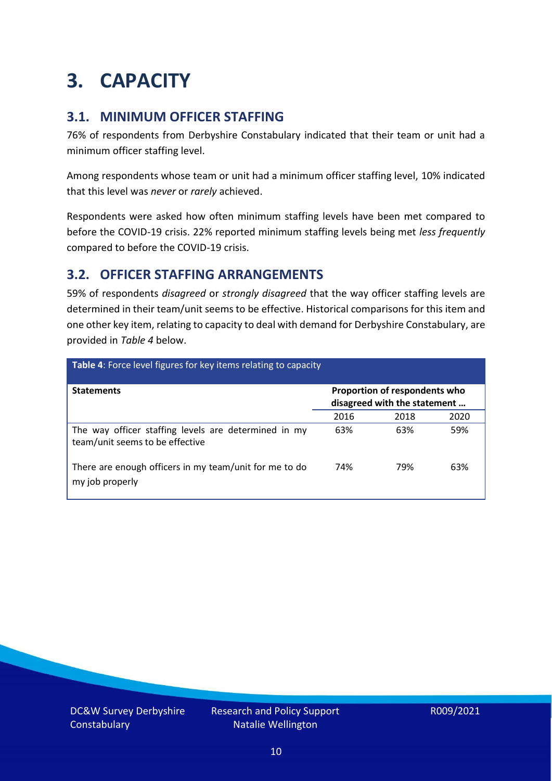### <span id="page-9-0"></span>**3. CAPACITY**

### **3.1. MINIMUM OFFICER STAFFING**

76% of respondents from Derbyshire Constabulary indicated that their team or unit had a minimum officer staffing level.

Among respondents whose team or unit had a minimum officer staffing level, 10% indicated that this level was *never* or *rarely* achieved.

Respondents were asked how often minimum staffing levels have been met compared to before the COVID-19 crisis. 22% reported minimum staffing levels being met *less frequently* compared to before the COVID-19 crisis.

### **3.2. OFFICER STAFFING ARRANGEMENTS**

59% of respondents *disagreed* or *strongly disagreed* that the way officer staffing levels are determined in their team/unit seems to be effective. Historical comparisons for this item and one other key item, relating to capacity to deal with demand for Derbyshire Constabulary, are provided in *Table 4* below.

| <b>Table 4:</b> Force level figures for key items relating to capacity                  |                                                               |      |      |  |
|-----------------------------------------------------------------------------------------|---------------------------------------------------------------|------|------|--|
| <b>Statements</b>                                                                       | Proportion of respondents who<br>disagreed with the statement |      |      |  |
|                                                                                         | 2016                                                          | 2018 | 2020 |  |
| The way officer staffing levels are determined in my<br>team/unit seems to be effective | 63%                                                           | 63%  | 59%  |  |
| There are enough officers in my team/unit for me to do<br>my job properly               | 74%                                                           | 79%  | 63%  |  |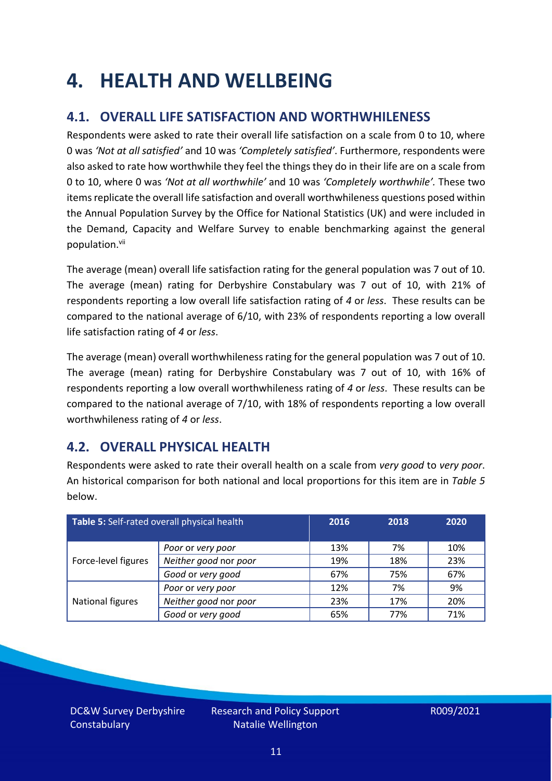### <span id="page-10-0"></span>**4. HEALTH AND WELLBEING**

### **4.1. OVERALL LIFE SATISFACTION AND WORTHWHILENESS**

Respondents were asked to rate their overall life satisfaction on a scale from 0 to 10, where 0 was *'Not at all satisfied'* and 10 was *'Completely satisfied'*. Furthermore, respondents were also asked to rate how worthwhile they feel the things they do in their life are on a scale from 0 to 10, where 0 was *'Not at all worthwhile'* and 10 was *'Completely worthwhile'.* These two items replicate the overall life satisfaction and overall worthwhileness questions posed within the Annual Population Survey by the Office for National Statistics (UK) and were included in the Demand, Capacity and Welfare Survey to enable benchmarking against the general population. vii

The average (mean) overall life satisfaction rating for the general population was 7 out of 10. The average (mean) rating for Derbyshire Constabulary was 7 out of 10, with 21% of respondents reporting a low overall life satisfaction rating of *4* or *less*. These results can be compared to the national average of 6/10, with 23% of respondents reporting a low overall life satisfaction rating of *4* or *less*.

The average (mean) overall worthwhileness rating for the general population was 7 out of 10. The average (mean) rating for Derbyshire Constabulary was 7 out of 10, with 16% of respondents reporting a low overall worthwhileness rating of *4* or *less*. These results can be compared to the national average of 7/10, with 18% of respondents reporting a low overall worthwhileness rating of *4* or *less*.

### **4.2. OVERALL PHYSICAL HEALTH**

Respondents were asked to rate their overall health on a scale from *very good* to *very poor*. An historical comparison for both national and local proportions for this item are in *Table 5* below.

| Table 5: Self-rated overall physical health |                       | 2016 | 2018 | 2020 |
|---------------------------------------------|-----------------------|------|------|------|
|                                             | Poor or very poor     | 13%  | 7%   | 10%  |
| Force-level figures                         | Neither good nor poor | 19%  | 18%  | 23%  |
|                                             | Good or very good     | 67%  | 75%  | 67%  |
|                                             | Poor or very poor     | 12%  | 7%   | 9%   |
| National figures                            | Neither good nor poor | 23%  | 17%  | 20%  |
|                                             | Good or very good     | 65%  | 77%  | 71%  |

DC&W Survey Derbyshire **Constabulary**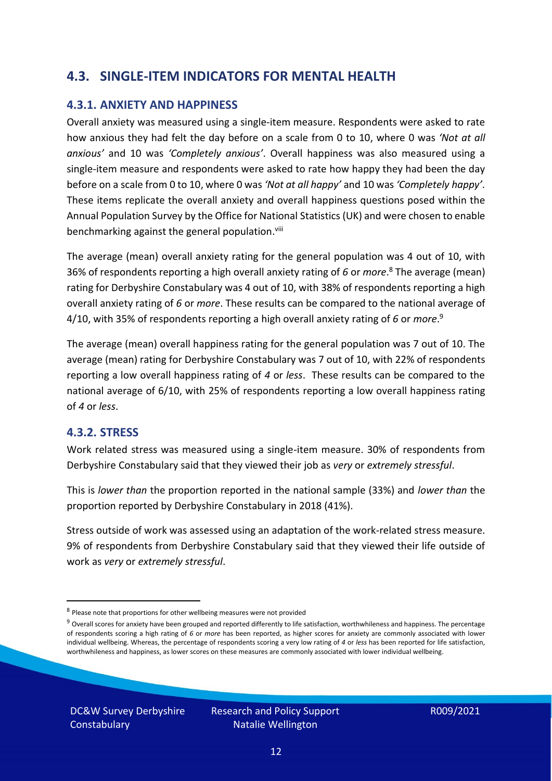### **4.3. SINGLE-ITEM INDICATORS FOR MENTAL HEALTH**

#### **4.3.1. ANXIETY AND HAPPINESS**

Overall anxiety was measured using a single-item measure. Respondents were asked to rate how anxious they had felt the day before on a scale from 0 to 10, where 0 was *'Not at all anxious'* and 10 was *'Completely anxious'*. Overall happiness was also measured using a single-item measure and respondents were asked to rate how happy they had been the day before on a scale from 0 to 10, where 0 was *'Not at all happy'* and 10 was *'Completely happy'*. These items replicate the overall anxiety and overall happiness questions posed within the Annual Population Survey by the Office for National Statistics (UK) and were chosen to enable benchmarking against the general population.<sup>viii</sup>

The average (mean) overall anxiety rating for the general population was 4 out of 10, with 36% of respondents reporting a high overall anxiety rating of *6* or *more*. <sup>8</sup> The average (mean) rating for Derbyshire Constabulary was 4 out of 10, with 38% of respondents reporting a high overall anxiety rating of *6* or *more*. These results can be compared to the national average of 4/10, with 35% of respondents reporting a high overall anxiety rating of *6* or *more*. 9

The average (mean) overall happiness rating for the general population was 7 out of 10. The average (mean) rating for Derbyshire Constabulary was 7 out of 10, with 22% of respondents reporting a low overall happiness rating of *4* or *less*. These results can be compared to the national average of 6/10, with 25% of respondents reporting a low overall happiness rating of *4* or *less*.

#### **4.3.2. STRESS**

Work related stress was measured using a single-item measure. 30% of respondents from Derbyshire Constabulary said that they viewed their job as *very* or *extremely stressful*.

This is *lower than* the proportion reported in the national sample (33%) and *lower than* the proportion reported by Derbyshire Constabulary in 2018 (41%).

Stress outside of work was assessed using an adaptation of the work-related stress measure. 9% of respondents from Derbyshire Constabulary said that they viewed their life outside of work as *very* or *extremely stressful*.

DC&W Survey Derbyshire **Constabulary** 

<sup>&</sup>lt;sup>8</sup> Please note that proportions for other wellbeing measures were not provided

 $9$  Overall scores for anxiety have been grouped and reported differently to life satisfaction, worthwhileness and happiness. The percentage of respondents scoring a high rating of *6* or *more* has been reported, as higher scores for anxiety are commonly associated with lower individual wellbeing. Whereas, the percentage of respondents scoring a very low rating of *4* or *less* has been reported for life satisfaction, worthwhileness and happiness, as lower scores on these measures are commonly associated with lower individual wellbeing.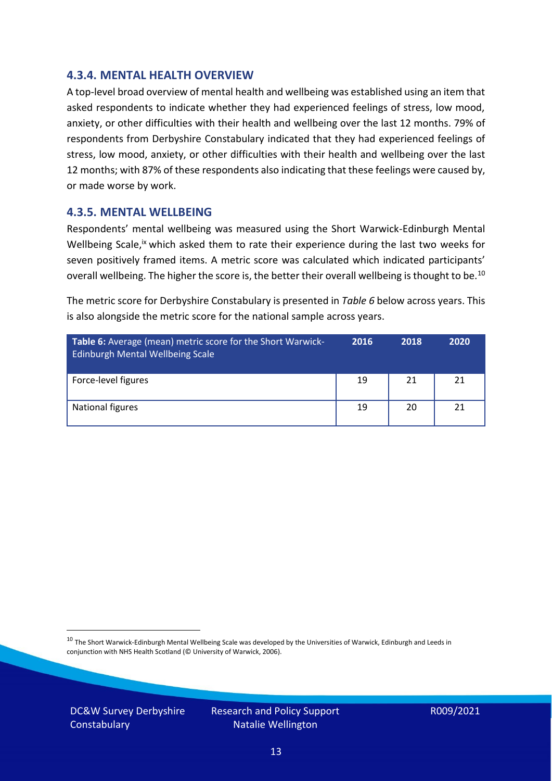#### **4.3.4. MENTAL HEALTH OVERVIEW**

A top-level broad overview of mental health and wellbeing was established using an item that asked respondents to indicate whether they had experienced feelings of stress, low mood, anxiety, or other difficulties with their health and wellbeing over the last 12 months. 79% of respondents from Derbyshire Constabulary indicated that they had experienced feelings of stress, low mood, anxiety, or other difficulties with their health and wellbeing over the last 12 months; with 87% of these respondents also indicating that these feelings were caused by, or made worse by work.

#### **4.3.5. MENTAL WELLBEING**

Respondents' mental wellbeing was measured using the Short Warwick-Edinburgh Mental Wellbeing Scale,<sup>ix</sup> which asked them to rate their experience during the last two weeks for seven positively framed items. A metric score was calculated which indicated participants' overall wellbeing. The higher the score is, the better their overall wellbeing is thought to be.<sup>10</sup>

The metric score for Derbyshire Constabulary is presented in *Table 6* below across years. This is also alongside the metric score for the national sample across years.

| <b>Table 6:</b> Average (mean) metric score for the Short Warwick-<br>Edinburgh Mental Wellbeing Scale | 2016 | 2018 | 2020 |
|--------------------------------------------------------------------------------------------------------|------|------|------|
| Force-level figures                                                                                    | 19   | 21   | 21   |
| National figures                                                                                       | 19   | 20   | 21   |

 $10$  The Short Warwick-Edinburgh Mental Wellbeing Scale was developed by the Universities of Warwick, Edinburgh and Leeds in conjunction with NHS Health Scotland (© University of Warwick, 2006).

DC&W Survey Derbyshire **Constabulary**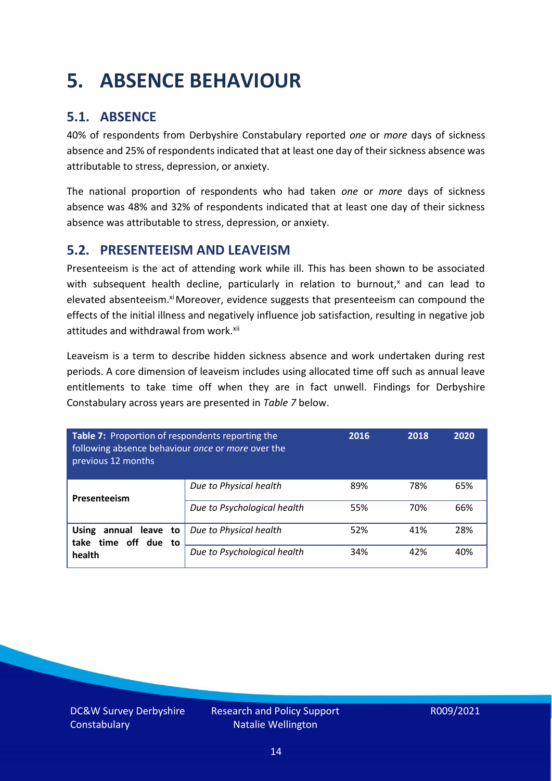### <span id="page-13-0"></span>**5. ABSENCE BEHAVIOUR**

### **5.1. ABSENCE**

40% of respondents from Derbyshire Constabulary reported *one* or *more* days of sickness absence and 25% of respondents indicated that at least one day of their sickness absence was attributable to stress, depression, or anxiety.

The national proportion of respondents who had taken *one* or *more* days of sickness absence was 48% and 32% of respondents indicated that at least one day of their sickness absence was attributable to stress, depression, or anxiety.

### **5.2. PRESENTEEISM AND LEAVEISM**

Presenteeism is the act of attending work while ill. This has been shown to be associated with subsequent health decline, particularly in relation to burnout, $x$  and can lead to elevated absenteeism.<sup>xi</sup> Moreover, evidence suggests that presenteeism can compound the effects of the initial illness and negatively influence job satisfaction, resulting in negative job attitudes and withdrawal from work.<sup>xii</sup>

Leaveism is a term to describe hidden sickness absence and work undertaken during rest periods. A core dimension of leaveism includes using allocated time off such as annual leave entitlements to take time off when they are in fact unwell. Findings for Derbyshire Constabulary across years are presented in *Table 7* below.

| Table 7: Proportion of respondents reporting the<br>following absence behaviour once or more over the<br>previous 12 months | 2016                        | 2018 | 2020 |     |
|-----------------------------------------------------------------------------------------------------------------------------|-----------------------------|------|------|-----|
| Presenteeism                                                                                                                | Due to Physical health      | 89%  | 78%  | 65% |
|                                                                                                                             | Due to Psychological health | 55%  | 70%  | 66% |
| <b>Using</b><br>annual leave to<br>time off due to<br>take                                                                  | Due to Physical health      | 52%  | 41%  | 28% |
| health                                                                                                                      | Due to Psychological health | 34%  | 42%  | 40% |

DC&W Survey Derbyshire **Constabulary**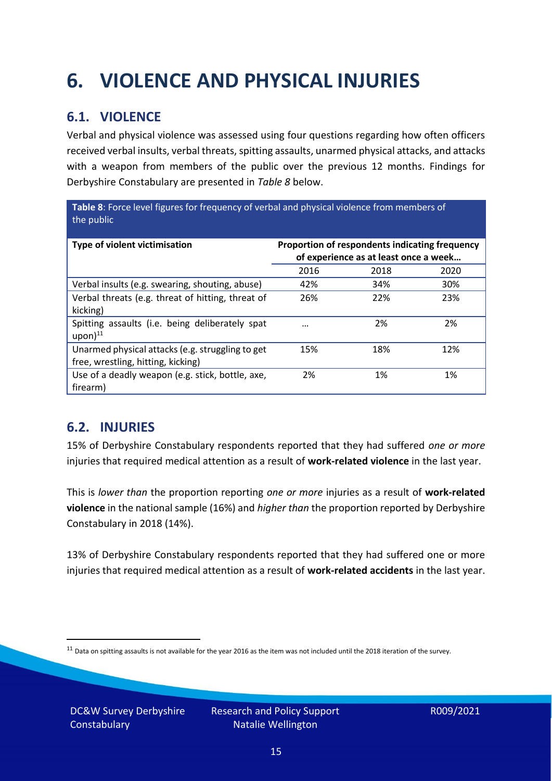## <span id="page-14-0"></span>**6. VIOLENCE AND PHYSICAL INJURIES**

### **6.1. VIOLENCE**

Verbal and physical violence was assessed using four questions regarding how often officers received verbal insults, verbal threats, spitting assaults, unarmed physical attacks, and attacks with a weapon from members of the public over the previous 12 months. Findings for Derbyshire Constabulary are presented in *Table 8* below.

**Table 8**: Force level figures for frequency of verbal and physical violence from members of the public

| Type of violent victimisation                                                          | Proportion of respondents indicating frequency<br>of experience as at least once a week |      |      |
|----------------------------------------------------------------------------------------|-----------------------------------------------------------------------------------------|------|------|
|                                                                                        | 2016                                                                                    | 2018 | 2020 |
| Verbal insults (e.g. swearing, shouting, abuse)                                        | 42%                                                                                     | 34%  | 30%  |
| Verbal threats (e.g. threat of hitting, threat of<br>kicking)                          | 26%                                                                                     | 22%  | 23%  |
| Spitting assaults (i.e. being deliberately spat<br>$upon)$ <sup>11</sup>               |                                                                                         | 2%   | 2%   |
| Unarmed physical attacks (e.g. struggling to get<br>free, wrestling, hitting, kicking) | 15%                                                                                     | 18%  | 12%  |
| Use of a deadly weapon (e.g. stick, bottle, axe,<br>firearm)                           | 2%                                                                                      | 1%   | 1%   |

### **6.2. INJURIES**

15% of Derbyshire Constabulary respondents reported that they had suffered *one or more* injuries that required medical attention as a result of **work-related violence** in the last year.

This is *lower than* the proportion reporting *one or more* injuries as a result of **work-related violence** in the national sample (16%) and *higher than* the proportion reported by Derbyshire Constabulary in 2018 (14%).

13% of Derbyshire Constabulary respondents reported that they had suffered one or more injuries that required medical attention as a result of **work-related accidents** in the last year.

 $11$  Data on spitting assaults is not available for the year 2016 as the item was not included until the 2018 iteration of the survey.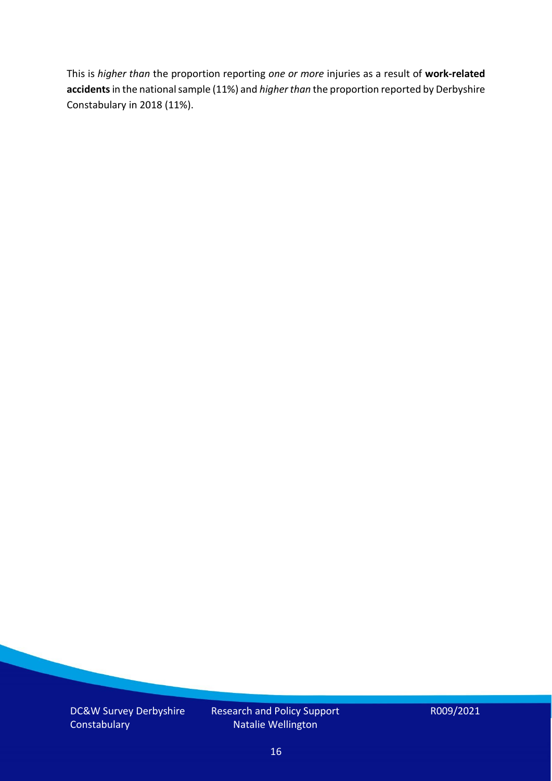This is *higher than* the proportion reporting *one or more* injuries as a result of **work-related accidents** in the national sample (11%) and *higher than* the proportion reported by Derbyshire Constabulary in 2018 (11%).

DC&W Survey Derbyshire **Constabulary** 

Research and Policy Support Natalie Wellington

R009/2021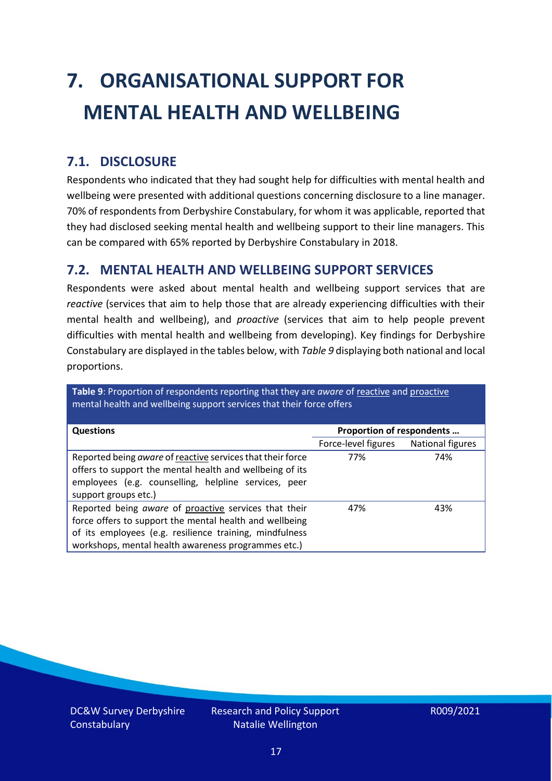# <span id="page-16-0"></span>**7. ORGANISATIONAL SUPPORT FOR MENTAL HEALTH AND WELLBEING**

### **7.1. DISCLOSURE**

Respondents who indicated that they had sought help for difficulties with mental health and wellbeing were presented with additional questions concerning disclosure to a line manager. 70% of respondents from Derbyshire Constabulary, for whom it was applicable, reported that they had disclosed seeking mental health and wellbeing support to their line managers. This can be compared with 65% reported by Derbyshire Constabulary in 2018.

#### **7.2. MENTAL HEALTH AND WELLBEING SUPPORT SERVICES**

Respondents were asked about mental health and wellbeing support services that are *reactive* (services that aim to help those that are already experiencing difficulties with their mental health and wellbeing), and *proactive* (services that aim to help people prevent difficulties with mental health and wellbeing from developing). Key findings for Derbyshire Constabulary are displayed in the tables below, with *Table 9* displaying both national and local proportions.

**Table 9**: Proportion of respondents reporting that they are *aware* of reactive and proactive mental health and wellbeing support services that their force offers

| <b>Questions</b>                                                                                                                                                                                                                   | Proportion of respondents |                  |
|------------------------------------------------------------------------------------------------------------------------------------------------------------------------------------------------------------------------------------|---------------------------|------------------|
|                                                                                                                                                                                                                                    | Force-level figures       | National figures |
| Reported being aware of reactive services that their force<br>offers to support the mental health and wellbeing of its<br>employees (e.g. counselling, helpline services, peer<br>support groups etc.)                             | 77%                       | 74%              |
| Reported being aware of proactive services that their<br>force offers to support the mental health and wellbeing<br>of its employees (e.g. resilience training, mindfulness<br>workshops, mental health awareness programmes etc.) | 47%                       | 43%              |

DC&W Survey Derbyshire **Constabulary**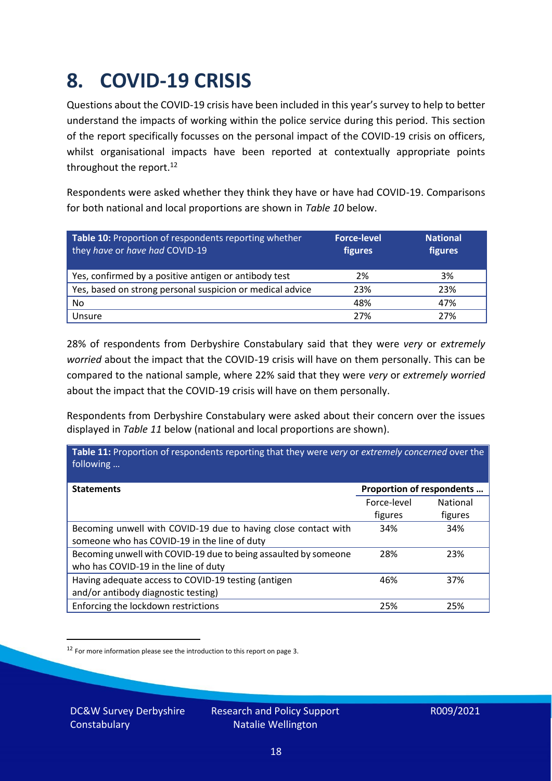### <span id="page-17-0"></span>**8. COVID-19 CRISIS**

Questions about the COVID-19 crisis have been included in this year's survey to help to better understand the impacts of working within the police service during this period. This section of the report specifically focusses on the personal impact of the COVID-19 crisis on officers, whilst organisational impacts have been reported at contextually appropriate points throughout the report.<sup>12</sup>

Respondents were asked whether they think they have or have had COVID-19. Comparisons for both national and local proportions are shown in *Table 10* below.

| Table 10: Proportion of respondents reporting whether<br>they have or have had COVID-19 | <b>Force-level</b><br>figures | <b>National</b><br>figures |
|-----------------------------------------------------------------------------------------|-------------------------------|----------------------------|
| Yes, confirmed by a positive antigen or antibody test                                   | 2%                            | 3%                         |
| Yes, based on strong personal suspicion or medical advice                               | 23%                           | 23%                        |
| No                                                                                      | 48%                           | 47%                        |
| Unsure                                                                                  | 27%                           | 27%                        |

28% of respondents from Derbyshire Constabulary said that they were *very* or *extremely worried* about the impact that the COVID-19 crisis will have on them personally. This can be compared to the national sample, where 22% said that they were *very* or *extremely worried* about the impact that the COVID-19 crisis will have on them personally.

Respondents from Derbyshire Constabulary were asked about their concern over the issues displayed in *Table 11* below (national and local proportions are shown).

| Table 11: Proportion of respondents reporting that they were very or extremely concerned over the<br>following |                           |                 |
|----------------------------------------------------------------------------------------------------------------|---------------------------|-----------------|
| <b>Statements</b>                                                                                              | Proportion of respondents |                 |
|                                                                                                                | Force-level               | <b>National</b> |
|                                                                                                                | figures                   | figures         |
| Becoming unwell with COVID-19 due to having close contact with                                                 | 34%                       | 34%             |
| someone who has COVID-19 in the line of duty                                                                   |                           |                 |
| Becoming unwell with COVID-19 due to being assaulted by someone                                                | 28%                       | 23%             |
| who has COVID-19 in the line of duty                                                                           |                           |                 |
| Having adequate access to COVID-19 testing (antigen                                                            | 46%                       | 37%             |
| and/or antibody diagnostic testing)                                                                            |                           |                 |
| Enforcing the lockdown restrictions                                                                            | 25%                       | 25%             |

<sup>12</sup> For more information please see the introduction to this report on page 3.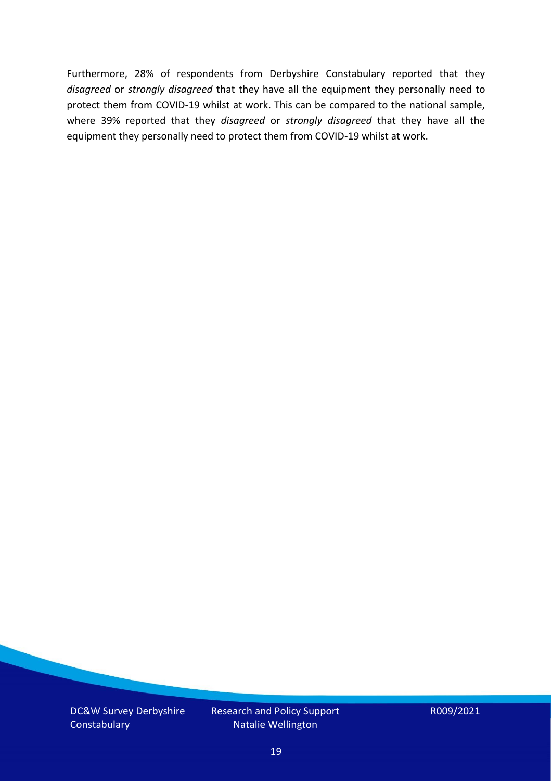Furthermore, 28% of respondents from Derbyshire Constabulary reported that they *disagreed* or *strongly disagreed* that they have all the equipment they personally need to protect them from COVID-19 whilst at work. This can be compared to the national sample, where 39% reported that they *disagreed* or *strongly disagreed* that they have all the equipment they personally need to protect them from COVID-19 whilst at work.

DC&W Survey Derbyshire **Constabulary** 

Research and Policy Support Natalie Wellington

R009/2021